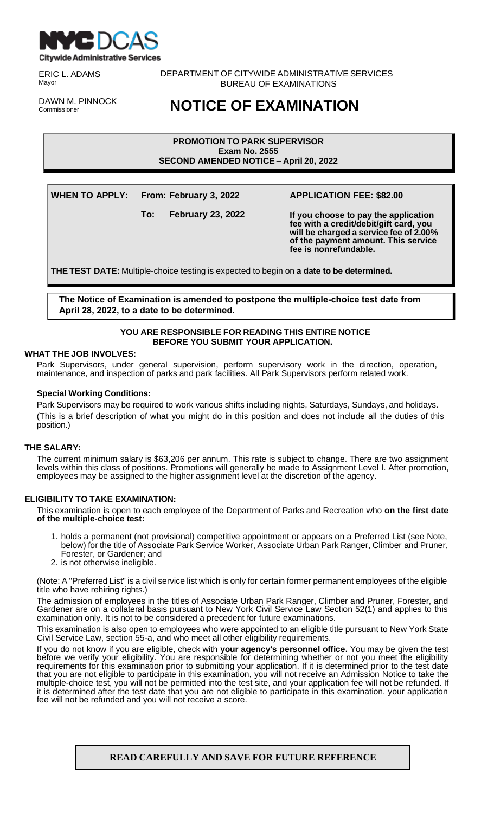

ERIC L. ADAMS Mayor

DAWN M. PINNOCK Commissioner

DEPARTMENT OF CITYWIDE ADMINISTRATIVE SERVICES BUREAU OF EXAMINATIONS

# **NOTICE OF EXAMINATION**

**PROMOTION TO PARK SUPERVISOR Exam No. 2555 SECOND AMENDED NOTICE – April 20, 2022**

**WHEN TO APPLY: From: February 3, 2022 APPLICATION FEE: \$82.00**

**To: February 23, 2022 If you choose to pay the application fee with a credit/debit/gift card, you will be charged a service fee of 2.00% of the payment amount. This service fee is nonrefundable.**

**THE TEST DATE:** Multiple-choice testing is expected to begin on **a date to be determined.**

**The Notice of Examination is amended to postpone the multiple-choice test date from April 28, 2022, to a date to be determined.**

# **YOU ARE RESPONSIBLE FOR READING THIS ENTIRE NOTICE BEFORE YOU SUBMIT YOUR APPLICATION.**

# **WHAT THE JOB INVOLVES:**

Park Supervisors, under general supervision, perform supervisory work in the direction, operation, maintenance, and inspection of parks and park facilities. All Park Supervisors perform related work.

# **Special Working Conditions:**

Park Supervisors may be required to work various shifts including nights, Saturdays, Sundays, and holidays. (This is a brief description of what you might do in this position and does not include all the duties of this position.)

# **THE SALARY:**

The current minimum salary is \$63,206 per annum. This rate is subject to change. There are two assignment levels within this class of positions. Promotions will generally be made to Assignment Level I. After promotion, employees may be assigned to the higher assignment level at the discretion of the agency.

# **ELIGIBILITY TO TAKE EXAMINATION:**

This examination is open to each employee of the Department of Parks and Recreation who **on the first date of the multiple-choice test:**

- 1. holds a permanent (not provisional) competitive appointment or appears on a Preferred List (see Note, below) for the title of Associate Park Service Worker, Associate Urban Park Ranger, Climber and Pruner, Forester, or Gardener; and
- 2. is not otherwise ineligible.

(Note: A "Preferred List" is a civil service list which is only for certain former permanent employees of the eligible title who have rehiring rights.)

The admission of employees in the titles of Associate Urban Park Ranger, Climber and Pruner, Forester, and Gardener are on a collateral basis pursuant to New York Civil Service Law Section 52(1) and applies to this examination only. It is not to be considered a precedent for future examinations.

This examination is also open to employees who were appointed to an eligible title pursuant to New York State Civil Service Law, section 55-a, and who meet all other eligibility requirements.

If you do not know if you are eligible, check with **your agency's personnel office.** You may be given the test before we verify your eligibility. You are responsible for determining whether or not you meet the eligibility requirements for this examination prior to submitting your application. If it is determined prior to the test date that you are not eligible to participate in this examination, you will not receive an Admission Notice to take the multiple-choice test, you will not be permitted into the test site, and your application fee will not be refunded. If it is determined after the test date that you are not eligible to participate in this examination, your application fee will not be refunded and you will not receive a score.

**READ CAREFULLY AND SAVE FOR FUTURE REFERENCE**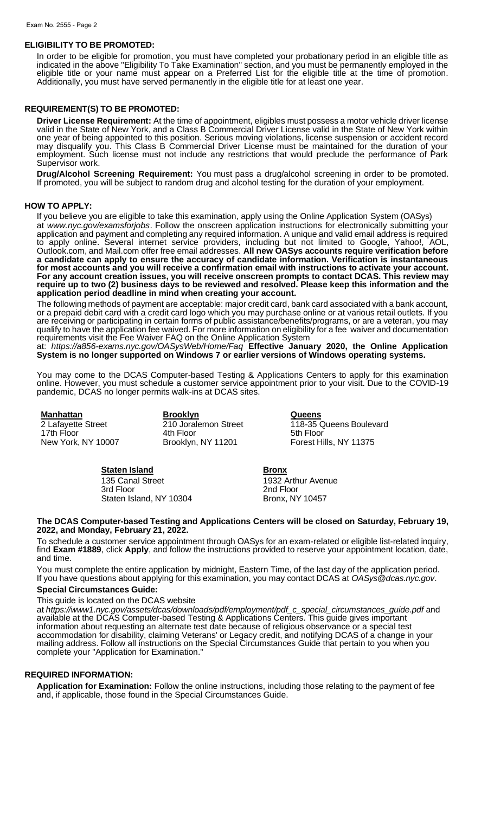#### **ELIGIBILITY TO BE PROMOTED:**

In order to be eligible for promotion, you must have completed your probationary period in an eligible title as indicated in the above "Eligibility To Take Examination" section, and you must be permanently employed in the eligible title or your name must appear on a Preferred List for the eligible title at the time of promotion. Additionally, you must have served permanently in the eligible title for at least one year.

### **REQUIREMENT(S) TO BE PROMOTED:**

**Driver License Requirement:** At the time of appointment, eligibles must possess a motor vehicle driver license valid in the State of New York, and a Class B Commercial Driver License valid in the State of New York within one year of being appointed to this position. Serious moving violations, license suspension or accident record may disqualify you. This Class B Commercial Driver License must be maintained for the duration of your employment. Such license must not include any restrictions that would preclude the performance of Park Supervisor work.

**Drug/Alcohol Screening Requirement:** You must pass a drug/alcohol screening in order to be promoted. If promoted, you will be subject to random drug and alcohol testing for the duration of your employment.

#### **HOW TO APPLY:**

If you believe you are eligible to take this examination, apply using the Online Application System (OASys) at *[www.nyc.gov/examsforjobs](http://www.nyc.gov/examsforjobs)*. Follow the onscreen application instructions for electronically submitting your application and payment and completing any required information. A unique and valid email address is required to apply online. Several internet service providers, including but not limited to Google, Yahoo!, AOL, Outlook.com, and Mail.com offer free email addresses. **All new OASys accounts require verification before a candidate can apply to ensure the accuracy of candidate information. Verification is instantaneous for most accounts and you will receive a confirmation email with instructions to activate your account. For any account creation issues, you will receive onscreen prompts to contact DCAS. This review may require up to two (2) business days to be reviewed and resolved. Please keep this information and the application period deadline in mind when creating your account.**

The following methods of payment are acceptable: major credit card, bank card associated with a bank account, or a prepaid debit card with a credit card logo which you may purchase online or at various retail outlets. If you are receiving or participating in certain forms of public assistance/benefits/programs, or are a veteran, you may qualify to have the application fee waived. For more information on eligibility for a fee waiver and documentation requirements visit the Fee Waiver FAQ on the Online Application System

at: *https://a856-exams.nyc.gov/OASysWeb/Home/Faq* **Effective January 2020, the Online Application System is no longer supported on Windows 7 or earlier versions of Windows operating systems.**

You may come to the DCAS Computer-based Testing & Applications Centers to apply for this examination online. However, you must schedule a customer service appointment prior to your visit. Due to the COVID-19 pandemic, DCAS no longer permits walk-ins at DCAS sites.

**Manhattan**<br> **Reference 2 Lafayette Street**<br> **Brooklyn**<br> **Brooklyn**<br> **Brooklyn**<br> **Brooklyn**<br> **Brooklyn**<br> **Brooklyn**<br> **Brooklyn**<br> **Street**<br> **Brooklyn**<br> **Brooklyn**<br> **Brooklyn**<br> **Brooklyn**<br> **Brooklyn**<br> **Brooklyn** Brooklyn, NY 11201

210 Joralemon Street 118-35 Queens Boulevard 17th Floor 4th Floor 5th Floor

#### **Staten Island Bronx**

135 Canal Street 1932 Arthur Avenue 3rd Floor 2nd Floor<br>
2nd Floor 2nd Floor<br>
2nd Floor, NY 10457 Staten Island, NY 10304

#### **The DCAS Computer-based Testing and Applications Centers will be closed on Saturday, February 19, 2022, and Monday, February 21, 2022.**

To schedule a customer service appointment through OASys for an exam-related or eligible list-related inquiry, find **Exam #1889**, click **Apply**, and follow the instructions provided to reserve your appointment location, date, and time.

You must complete the entire application by midnight, Eastern Time, of the last day of the application period. If you have questions about applying for this examination, you may contact DCAS at *[OASys@dcas.nyc.gov](mailto:OASys@dcas.nyc.gov)*.

#### **Special Circumstances Guide:**

This guide is located on the DCAS website

at *https://www1.nyc.gov/assets/dcas/downloads/pdf/employment/pdf\_c\_special\_circumstances\_guide.pdf* and available at the DCAS Computer-based Testing & Applications Centers. This guide gives important information about requesting an alternate test date because of religious observance or a special test accommodation for disability, claiming Veterans' or Legacy credit, and notifying DCAS of a change in your mailing address. Follow all instructions on the Special Circumstances Guide that pertain to you when you complete your "Application for Examination."

#### **REQUIRED INFORMATION:**

**Application for Examination:** Follow the online instructions, including those relating to the payment of fee and, if applicable, those found in the Special Circumstances Guide.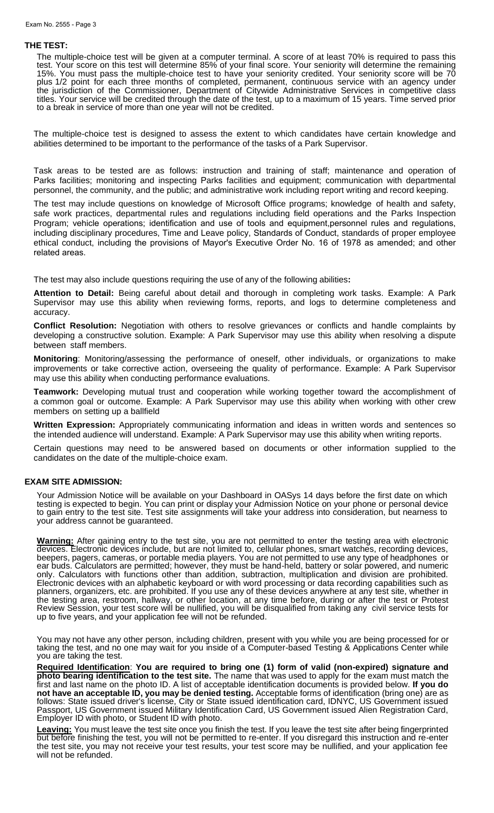#### **THE TEST:**

The multiple-choice test will be given at a computer terminal. A score of at least 70% is required to pass this test. Your score on this test will determine 85% of your final score. Your seniority will determine the remaining 15%. You must pass the multiple-choice test to have your seniority credited. Your seniority score will be 70 plus 1/2 point for each three months of completed, permanent, continuous service with an agency under the jurisdiction of the Commissioner, Department of Citywide Administrative Services in competitive class titles. Your service will be credited through the date of the test, up to a maximum of 15 years. Time served prior to a break in service of more than one year will not be credited.

The multiple-choice test is designed to assess the extent to which candidates have certain knowledge and abilities determined to be important to the performance of the tasks of a Park Supervisor.

Task areas to be tested are as follows: instruction and training of staff; maintenance and operation of Parks facilities; monitoring and inspecting Parks facilities and equipment; communication with departmental personnel, the community, and the public; and administrative work including report writing and record keeping.

The test may include questions on knowledge of Microsoft Office programs; knowledge of health and safety, safe work practices, departmental rules and regulations including field operations and the Parks Inspection Program; vehicle operations; identification and use of tools and equipment,personnel rules and regulations, including disciplinary procedures, Time and Leave policy, Standards of Conduct, standards of proper employee ethical conduct, including the provisions of Mayor's Executive Order No. 16 of 1978 as amended; and other related areas.

The test may also include questions requiring the use of any of the following abilities**:** 

**Attention to Detail:** Being careful about detail and thorough in completing work tasks. Example: A Park Supervisor may use this ability when reviewing forms, reports, and logs to determine completeness and accuracy.

**Conflict Resolution:** Negotiation with others to resolve grievances or conflicts and handle complaints by developing a constructive solution. Example: A Park Supervisor may use this ability when resolving a dispute between staff members.

**Monitoring**: Monitoring/assessing the performance of oneself, other individuals, or organizations to make improvements or take corrective action, overseeing the quality of performance. Example: A Park Supervisor may use this ability when conducting performance evaluations.

**Teamwork:** Developing mutual trust and cooperation while working together toward the accomplishment of a common goal or outcome. Example: A Park Supervisor may use this ability when working with other crew members on setting up a ballfield

**Written Expression:** Appropriately communicating information and ideas in written words and sentences so the intended audience will understand. Example: A Park Supervisor may use this ability when writing reports.

Certain questions may need to be answered based on documents or other information supplied to the candidates on the date of the multiple-choice exam.

#### **EXAM SITE ADMISSION:**

Your Admission Notice will be available on your Dashboard in OASys 14 days before the first date on which testing is expected to begin. You can print or display your Admission Notice on your phone or personal device to gain entry to the test site. Test site assignments will take your address into consideration, but nearness to your address cannot be guaranteed.

**Warning:** After gaining entry to the test site, you are not permitted to enter the testing area with electronic devices. Electronic devices include, but are not limited to, cellular phones, smart watches, recording devices, beepers, pagers, cameras, or portable media players. You are not permitted to use any type of headphones or ear buds. Calculators are permitted; however, they must be hand-held, battery or solar powered, and numeric only. Calculators with functions other than addition, subtraction, multiplication and division are prohibited. Electronic devices with an alphabetic keyboard or with word processing or data recording capabilities such as planners, organizers, etc. are prohibited. If you use any of these devices anywhere at any test site, whether in the testing area, restroom, hallway, or other location, at any time before, during or after the test or Protest Review Session, your test score will be nullified, you will be disqualified from taking any civil service tests for up to five years, and your application fee will not be refunded.

You may not have any other person, including children, present with you while you are being processed for or taking the test, and no one may wait for you inside of a Computer-based Testing & Applications Center while you are taking the test.

**Required Identification**: **You are required to bring one (1) form of valid (non-expired) signature and photo bearing identification to the test site.** The name that was used to apply for the exam must match the first and last name on the photo ID. A list of acceptable identification documents is provided below. If you do **not have an acceptable ID, you may be denied testing.** Acceptable forms of identification (bring one) are as follows: State issued driver's license, City or State issued identification card, IDNYC, US Government issued Passport, US Government issued Military Identification Card, US Government issued Alien Registration Card, Employer ID with photo, or Student ID with photo.

**Leaving:** You must leave the test site once you finish the test. If you leave the test site after being fingerprinted but before finishing the test, you will not be permitted to re-enter. If you disregard this instruction and re-enter the test site, you may not receive your test results, your test score may be nullified, and your application fee will not be refunded.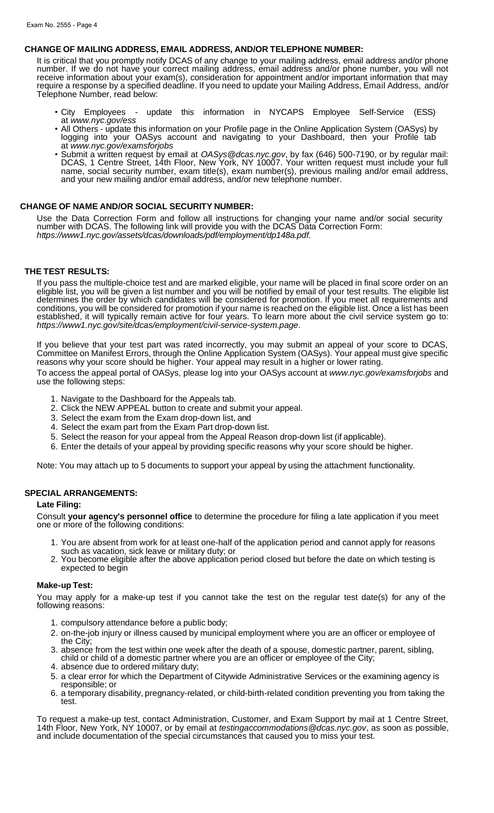#### **CHANGE OF MAILING ADDRESS, EMAIL ADDRESS, AND/OR TELEPHONE NUMBER:**

It is critical that you promptly notify DCAS of any change to your mailing address, email address and/or phone number. If we do not have your correct mailing address, email address and/or phone number, you will not receive information about your exam(s), consideration for appointment and/or important information that may require a response by a specified deadline. If you need to update your Mailing Address, Email Address, and/or Telephone Number, read below:

- City Employees update this information in NYCAPS Employee Self-Service (ESS) at *[www.nyc.gov/ess](http://www.nyc.gov/ess)*
- All Others update this information on your Profile page in the Online Application System (OASys) by logging into your OASys account and navigating to your Dashboard, then your Profile tab at *[www.nyc.gov/examsforjobs](http://www.nyc.gov/examsforjobs)*
- Submit a written request by email at *[OASys@dcas.nyc.gov](mailto:OASys@dcas.nyc.gov)*, by fax (646) 500-7190, or by regular mail: DCAS, 1 Centre Street, 14th Floor, New York, NY 10007. Your written request must include your full name, social security number, exam title(s), exam number(s), previous mailing and/or email address, and your new mailing and/or email address, and/or new telephone number.

# **CHANGE OF NAME AND/OR SOCIAL SECURITY NUMBER:**

Use the Data Correction Form and follow all instructions for changing your name and/or social security number with DCAS. The following link will provide you with the DCAS Data Correction Form: *https://www1.nyc.gov/assets/dcas/downloads/pdf/employment/dp148a.pdf.*

#### **THE TEST RESULTS:**

If you pass the multiple-choice test and are marked eligible, your name will be placed in final score order on an eligible list, you will be given a list number and you will be notified by email of your test results. The eligible list determines the order by which candidates will be considered for promotion. If you meet all requirements and conditions, you will be considered for promotion if your name is reached on the eligible list. Once a list has been established, it will typically remain active for four years. To learn more about the civil service system go to: *https://www1.nyc.gov/site/dcas/employment/civil-service-system.page*.

If you believe that your test part was rated incorrectly, you may submit an appeal of your score to DCAS, Committee on Manifest Errors, through the Online Application System (OASys). Your appeal must give specific reasons why your score should be higher. Your appeal may result in a higher or lower rating.

To access the appeal portal of OASys, please log into your OASys account at *[www.nyc.gov/examsforjobs](http://www.nyc.gov/examsforjobs)* and use the following steps:

- 1. Navigate to the Dashboard for the Appeals tab.
- 2. Click the NEW APPEAL button to create and submit your appeal.
- 3. Select the exam from the Exam drop-down list, and
- 4. Select the exam part from the Exam Part drop-down list.
- 5. Select the reason for your appeal from the Appeal Reason drop-down list (if applicable).
- 6. Enter the details of your appeal by providing specific reasons why your score should be higher.

Note: You may attach up to 5 documents to support your appeal by using the attachment functionality.

#### **SPECIAL ARRANGEMENTS:**

#### **Late Filing:**

Consult **your agency's personnel office** to determine the procedure for filing a late application if you meet one or more of the following conditions:

- 1. You are absent from work for at least one-half of the application period and cannot apply for reasons such as vacation, sick leave or military duty; or
- 2. You become eligible after the above application period closed but before the date on which testing is expected to begin

#### **Make-up Test:**

You may apply for a make-up test if you cannot take the test on the regular test date(s) for any of the following reasons:

- 1. compulsory attendance before a public body;
- 2. on-the-job injury or illness caused by municipal employment where you are an officer or employee of the City;
- 3. absence from the test within one week after the death of a spouse, domestic partner, parent, sibling, child or child of a domestic partner where you are an officer or employee of the City;
- 4. absence due to ordered military duty;
- 5. a clear error for which the Department of Citywide Administrative Services or the examining agency is responsible; or
- 6. a temporary disability, pregnancy-related, or child-birth-related condition preventing you from taking the test.

To request a make-up test, contact Administration, Customer, and Exam Support by mail at 1 Centre Street, 14th Floor, New York, NY 10007, or by email at *[testingaccommodations@dcas.nyc.gov](mailto:testingaccommodations@dcas.nyc.gov)*, as soon as possible, and include documentation of the special circumstances that caused you to miss your test.